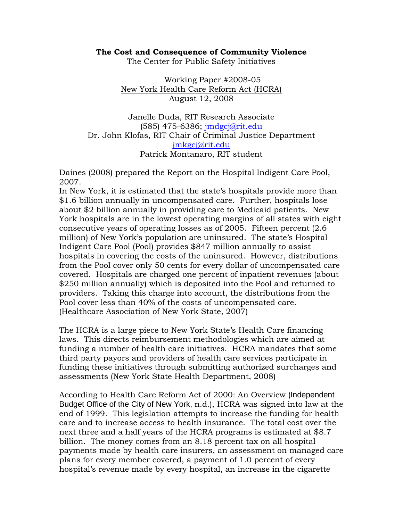## **The Cost and Consequence of Community Violence**

The Center for Public Safety Initiatives

Working Paper #2008-05 New York Health Care Reform Act (HCRA) August 12, 2008

Janelle Duda, RIT Research Associate (585) 475-6386; jmdgcj@rit.edu Dr. John Klofas, RIT Chair of Criminal Justice Department jmkgcj@rit.edu Patrick Montanaro, RIT student

Daines (2008) prepared the Report on the Hospital Indigent Care Pool, 2007.

In New York, it is estimated that the state's hospitals provide more than \$1.6 billion annually in uncompensated care. Further, hospitals lose about \$2 billion annually in providing care to Medicaid patients. New York hospitals are in the lowest operating margins of all states with eight consecutive years of operating losses as of 2005. Fifteen percent (2.6 million) of New York's population are uninsured. The state's Hospital Indigent Care Pool (Pool) provides \$847 million annually to assist hospitals in covering the costs of the uninsured. However, distributions from the Pool cover only 50 cents for every dollar of uncompensated care covered. Hospitals are charged one percent of inpatient revenues (about \$250 million annually) which is deposited into the Pool and returned to providers. Taking this charge into account, the distributions from the Pool cover less than 40% of the costs of uncompensated care. (Healthcare Association of New York State, 2007)

The HCRA is a large piece to New York State's Health Care financing laws. This directs reimbursement methodologies which are aimed at funding a number of health care initiatives. HCRA mandates that some third party payors and providers of health care services participate in funding these initiatives through submitting authorized surcharges and assessments (New York State Health Department, 2008)

According to Health Care Reform Act of 2000: An Overview (Independent Budget Office of the City of New York, n.d.), HCRA was signed into law at the end of 1999. This legislation attempts to increase the funding for health care and to increase access to health insurance. The total cost over the next three and a half years of the HCRA programs is estimated at \$8.7 billion. The money comes from an 8.18 percent tax on all hospital payments made by health care insurers, an assessment on managed care plans for every member covered, a payment of 1.0 percent of every hospital's revenue made by every hospital, an increase in the cigarette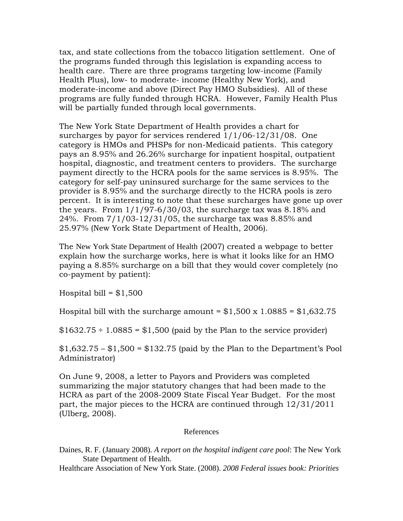tax, and state collections from the tobacco litigation settlement. One of the programs funded through this legislation is expanding access to health care. There are three programs targeting low-income (Family Health Plus), low- to moderate- income (Healthy New York), and moderate-income and above (Direct Pay HMO Subsidies). All of these programs are fully funded through HCRA. However, Family Health Plus will be partially funded through local governments.

The New York State Department of Health provides a chart for surcharges by payor for services rendered 1/1/06-12/31/08. One category is HMOs and PHSPs for non-Medicaid patients. This category pays an 8.95% and 26.26% surcharge for inpatient hospital, outpatient hospital, diagnostic, and treatment centers to providers. The surcharge payment directly to the HCRA pools for the same services is 8.95%. The category for self-pay uninsured surcharge for the same services to the provider is 8.95% and the surcharge directly to the HCRA pools is zero percent. It is interesting to note that these surcharges have gone up over the years. From  $1/1/97-6/30/03$ , the surcharge tax was 8.18% and 24%. From 7/1/03-12/31/05, the surcharge tax was 8.85% and 25.97% (New York State Department of Health, 2006).

The New York State Department of Health (2007) created a webpage to better explain how the surcharge works, here is what it looks like for an HMO paying a 8.85% surcharge on a bill that they would cover completely (no co-payment by patient):

Hospital bill =  $$1,500$ 

Hospital bill with the surcharge amount =  $$1,500 \times 1.0885 = $1,632.75$ 

 $$1632.75 \div 1.0885 = $1,500$  (paid by the Plan to the service provider)

 $$1,632.75 - $1,500 = $132.75$  (paid by the Plan to the Department's Pool Administrator)

On June 9, 2008, a letter to Payors and Providers was completed summarizing the major statutory changes that had been made to the HCRA as part of the 2008-2009 State Fiscal Year Budget. For the most part, the major pieces to the HCRA are continued through 12/31/2011 (Ulberg, 2008).

## References

Daines, R. F. (January 2008). *A report on the hospital indigent care pool*: The New York State Department of Health.

Healthcare Association of New York State. (2008). *2008 Federal issues book: Priorities*